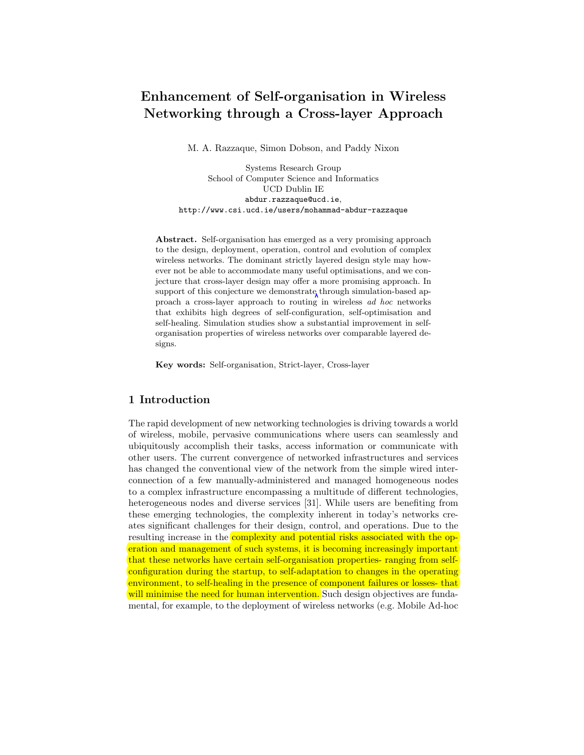# Enhancement of Self-organisation in Wireless Networking through a Cross-layer Approach

M. A. Razzaque, Simon Dobson, and Paddy Nixon

Systems Research Group School of Computer Science and Informatics UCD Dublin IE abdur.razzaque@ucd.ie, http://www.csi.ucd.ie/users/mohammad-abdur-razzaque

Abstract. Self-organisation has emerged as a very promising approach to the design, deployment, operation, control and evolution of complex wireless networks. The dominant strictly layered design style may however not be able to accommodate many useful optimisations, and we conjecture that cross-layer design may offer a more promising approach. In support of this conjecture we demonstrate through simulation-based approach a cross-layer approach to routing in wireless ad hoc networks that exhibits high degrees of self-configuration, self-optimisation and self-healing. Simulation studies show a substantial improvement in selforganisation properties of wireless networks over comparable layered designs.

Key words: Self-organisation, Strict-layer, Cross-layer

# 1 Introduction

The rapid development of new networking technologies is driving towards a world of wireless, mobile, pervasive communications where users can seamlessly and ubiquitously accomplish their tasks, access information or communicate with other users. The current convergence of networked infrastructures and services has changed the conventional view of the network from the simple wired interconnection of a few manually-administered and managed homogeneous nodes to a complex infrastructure encompassing a multitude of different technologies, heterogeneous nodes and diverse services [31]. While users are benefiting from these emerging technologies, the complexity inherent in today's networks creates significant challenges for their design, control, and operations. Due to the resulting increase in the **complexity** and potential risks associated with the operation and management of such systems, it is becoming increasingly important that these networks have certain self-organisation properties- ranging from selfconfiguration during the startup, to self-adaptation to changes in the operating environment, to self-healing in the presence of component failures or losses- that will minimise the need for human intervention. Such design objectives are fundamental, for example, to the deployment of wireless networks (e.g. Mobile Ad-hoc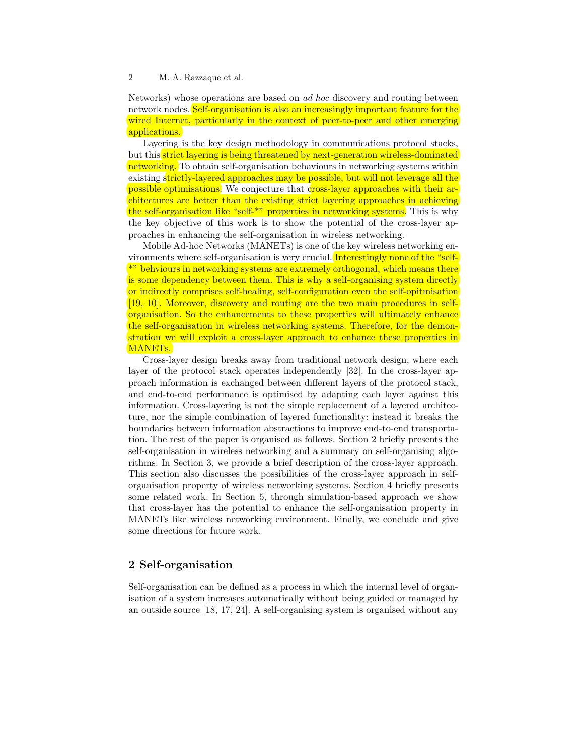Networks) whose operations are based on ad hoc discovery and routing between network nodes. Self-organisation is also an increasingly important feature for the wired Internet, particularly in the context of peer-to-peer and other emerging applications.

Layering is the key design methodology in communications protocol stacks, but this strict layering is being threatened by next-generation wireless-dominated networking. To obtain self-organisation behaviours in networking systems within existing strictly-layered approaches may be possible, but will not leverage all the possible optimisations. We conjecture that cross-layer approaches with their architectures are better than the existing strict layering approaches in achieving the self-organisation like "self-\*" properties in networking systems. This is why the key objective of this work is to show the potential of the cross-layer approaches in enhancing the self-organisation in wireless networking.

Mobile Ad-hoc Networks (MANETs) is one of the key wireless networking environments where self-organisation is very crucial. Interestingly none of the "self- \*" behviours in networking systems are extremely orthogonal, which means there is some dependency between them. This is why a self-organising system directly or indirectly comprises self-healing, self-configuration even the self-opitmisation [19, 10]. Moreover, discovery and routing are the two main procedures in selforganisation. So the enhancements to these properties will ultimately enhance the self-organisation in wireless networking systems. Therefore, for the demonstration we will exploit a cross-layer approach to enhance these properties in MANETs.

Cross-layer design breaks away from traditional network design, where each layer of the protocol stack operates independently [32]. In the cross-layer approach information is exchanged between different layers of the protocol stack, and end-to-end performance is optimised by adapting each layer against this information. Cross-layering is not the simple replacement of a layered architecture, nor the simple combination of layered functionality: instead it breaks the boundaries between information abstractions to improve end-to-end transportation. The rest of the paper is organised as follows. Section 2 briefly presents the self-organisation in wireless networking and a summary on self-organising algorithms. In Section 3, we provide a brief description of the cross-layer approach. This section also discusses the possibilities of the cross-layer approach in selforganisation property of wireless networking systems. Section 4 briefly presents some related work. In Section 5, through simulation-based approach we show that cross-layer has the potential to enhance the self-organisation property in MANETs like wireless networking environment. Finally, we conclude and give some directions for future work.

# 2 Self-organisation

Self-organisation can be defined as a process in which the internal level of organisation of a system increases automatically without being guided or managed by an outside source [18, 17, 24]. A self-organising system is organised without any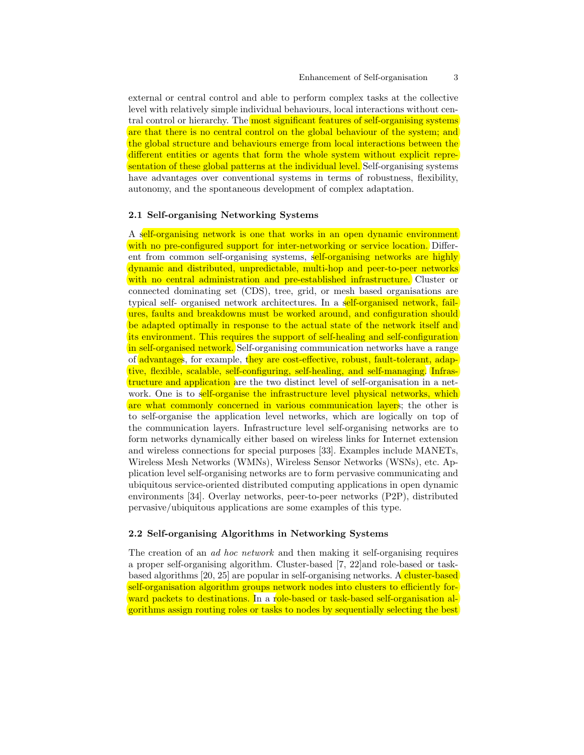external or central control and able to perform complex tasks at the collective level with relatively simple individual behaviours, local interactions without central control or hierarchy. The most significant features of self-organising systems are that there is no central control on the global behaviour of the system; and the global structure and behaviours emerge from local interactions between the different entities or agents that form the whole system without explicit representation of these global patterns at the individual level. Self-organising systems have advantages over conventional systems in terms of robustness, flexibility, autonomy, and the spontaneous development of complex adaptation.

## 2.1 Self-organising Networking Systems

A self-organising network is one that works in an open dynamic environment with no pre-configured support for inter-networking or service location. Different from common self-organising systems, self-organising networks are highly dynamic and distributed, unpredictable, multi-hop and peer-to-peer networks with no central administration and pre-established infrastructure. Cluster or connected dominating set (CDS), tree, grid, or mesh based organisations are typical self- organised network architectures. In a self-organised network, failures, faults and breakdowns must be worked around, and configuration should be adapted optimally in response to the actual state of the network itself and its environment. This requires the support of self-healing and self-configuration in self-organised network. Self-organising communication networks have a range of advantages, for example, they are cost-effective, robust, fault-tolerant, adaptive, flexible, scalable, self-configuring, self-healing, and self-managing. Infrastructure and application are the two distinct level of self-organisation in a network. One is to self-organise the infrastructure level physical networks, which are what commonly concerned in various communication layers; the other is to self-organise the application level networks, which are logically on top of the communication layers. Infrastructure level self-organising networks are to form networks dynamically either based on wireless links for Internet extension and wireless connections for special purposes [33]. Examples include MANETs, Wireless Mesh Networks (WMNs), Wireless Sensor Networks (WSNs), etc. Application level self-organising networks are to form pervasive communicating and ubiquitous service-oriented distributed computing applications in open dynamic environments [34]. Overlay networks, peer-to-peer networks (P2P), distributed pervasive/ubiquitous applications are some examples of this type.

# 2.2 Self-organising Algorithms in Networking Systems

The creation of an ad hoc network and then making it self-organising requires a proper self-organising algorithm. Cluster-based [7, 22]and role-based or taskbased algorithms [20, 25] are popular in self-organising networks. A cluster-based self-organisation algorithm groups network nodes into clusters to efficiently forward packets to destinations. In a role-based or task-based self-organisation algorithms assign routing roles or tasks to nodes by sequentially selecting the best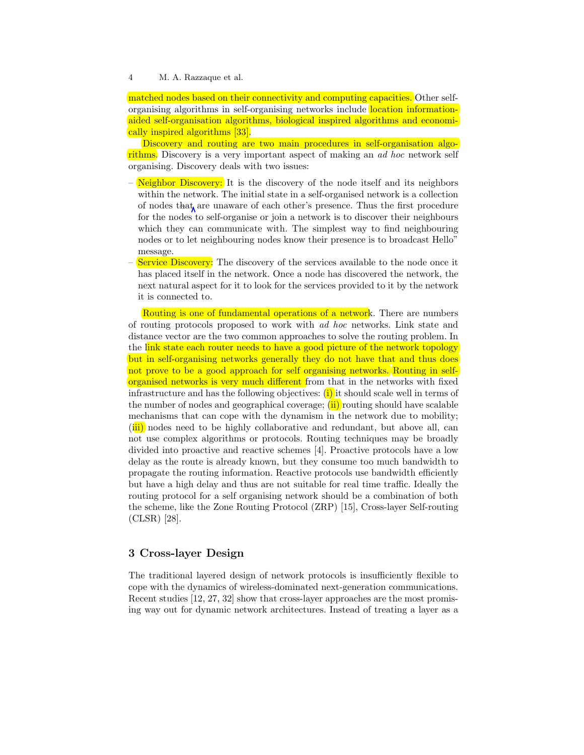matched nodes based on their connectivity and computing capacities. Other selforganising algorithms in self-organising networks include location informationaided self-organisation algorithms, biological inspired algorithms and economically inspired algorithms [33].

Discovery and routing are two main procedures in self-organisation algorithms. Discovery is a very important aspect of making an *ad hoc* network self organising. Discovery deals with two issues:

- Neighbor Discovery: It is the discovery of the node itself and its neighbors within the network. The initial state in a self-organised network is a collection of nodes that are unaware of each other's presence. Thus the first procedure for the nodes to self-organise or join a network is to discover their neighbours which they can communicate with. The simplest way to find neighbouring nodes or to let neighbouring nodes know their presence is to broadcast Hello" message.
- Service Discovery: The discovery of the services available to the node once it has placed itself in the network. Once a node has discovered the network, the next natural aspect for it to look for the services provided to it by the network it is connected to.

Routing is one of fundamental operations of a network. There are numbers of routing protocols proposed to work with ad hoc networks. Link state and distance vector are the two common approaches to solve the routing problem. In the link state each router needs to have a good picture of the network topology but in self-organising networks generally they do not have that and thus does not prove to be a good approach for self organising networks. Routing in selforganised networks is very much different from that in the networks with fixed infrastructure and has the following objectives:  $(i)$  it should scale well in terms of the number of nodes and geographical coverage;  $(i)$  routing should have scalable mechanisms that can cope with the dynamism in the network due to mobility; (iii) nodes need to be highly collaborative and redundant, but above all, can not use complex algorithms or protocols. Routing techniques may be broadly divided into proactive and reactive schemes [4]. Proactive protocols have a low delay as the route is already known, but they consume too much bandwidth to propagate the routing information. Reactive protocols use bandwidth efficiently but have a high delay and thus are not suitable for real time traffic. Ideally the routing protocol for a self organising network should be a combination of both the scheme, like the Zone Routing Protocol (ZRP) [15], Cross-layer Self-routing (CLSR) [28].

# 3 Cross-layer Design

The traditional layered design of network protocols is insufficiently flexible to cope with the dynamics of wireless-dominated next-generation communications. Recent studies [12, 27, 32] show that cross-layer approaches are the most promising way out for dynamic network architectures. Instead of treating a layer as a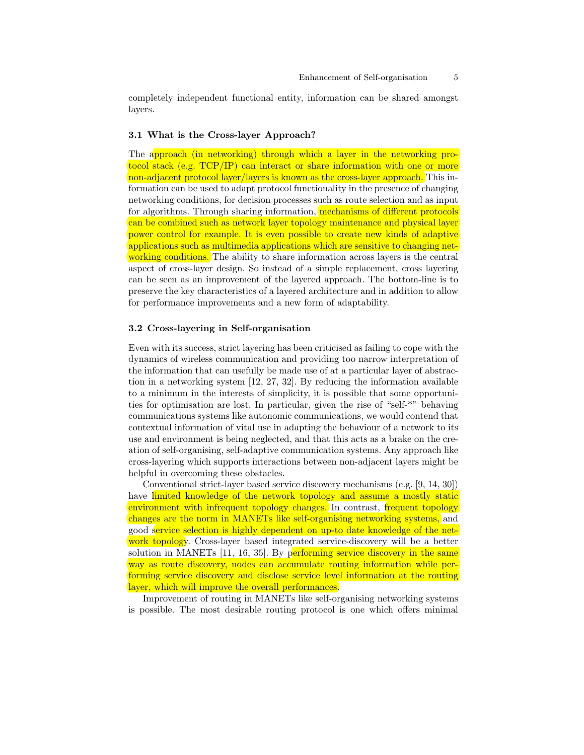completely independent functional entity, information can be shared amongst layers.

### 3.1 What is the Cross-layer Approach?

The approach (in networking) through which a layer in the networking protocol stack (e.g. TCP/IP) can interact or share information with one or more non-adjacent protocol layer/layers is known as the cross-layer approach. This information can be used to adapt protocol functionality in the presence of changing networking conditions, for decision processes such as route selection and as input for algorithms. Through sharing information, mechanisms of different protocols can be combined such as network layer topology maintenance and physical layer power control for example. It is even possible to create new kinds of adaptive applications such as multimedia applications which are sensitive to changing networking conditions. The ability to share information across layers is the central aspect of cross-layer design. So instead of a simple replacement, cross layering can be seen as an improvement of the layered approach. The bottom-line is to preserve the key characteristics of a layered architecture and in addition to allow for performance improvements and a new form of adaptability.

#### 3.2 Cross-layering in Self-organisation

Even with its success, strict layering has been criticised as failing to cope with the dynamics of wireless communication and providing too narrow interpretation of the information that can usefully be made use of at a particular layer of abstraction in a networking system [12, 27, 32]. By reducing the information available to a minimum in the interests of simplicity, it is possible that some opportunities for optimisation are lost. In particular, given the rise of "self-\*" behaving communications systems like autonomic communications, we would contend that contextual information of vital use in adapting the behaviour of a network to its use and environment is being neglected, and that this acts as a brake on the creation of self-organising, self-adaptive communication systems. Any approach like cross-layering which supports interactions between non-adjacent layers might be helpful in overcoming these obstacles.

Conventional strict-layer based service discovery mechanisms (e.g. [9, 14, 30]) have limited knowledge of the network topology and assume a mostly static environment with infrequent topology changes. In contrast, frequent topology changes are the norm in MANETs like self-organising networking systems, and good service selection is highly dependent on up-to date knowledge of the network topology. Cross-layer based integrated service-discovery will be a better solution in MANETs [11, 16, 35]. By performing service discovery in the same way as route discovery, nodes can accumulate routing information while performing service discovery and disclose service level information at the routing layer, which will improve the overall performances.

Improvement of routing in MANETs like self-organising networking systems is possible. The most desirable routing protocol is one which offers minimal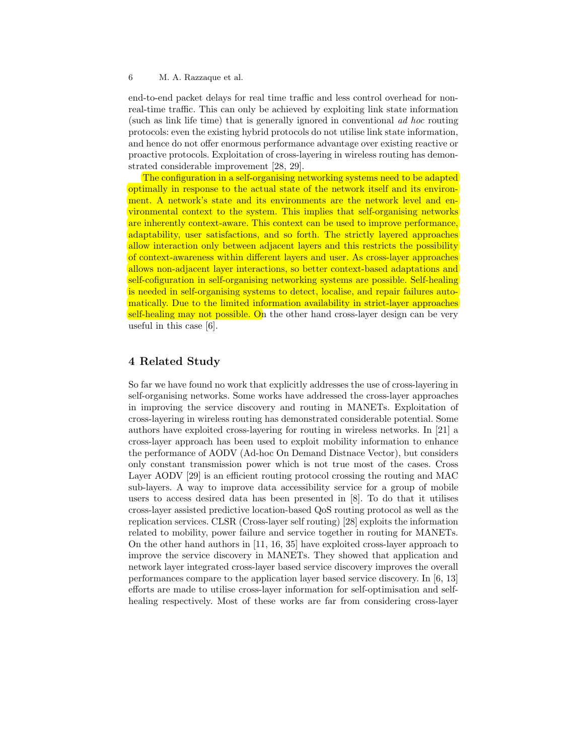end-to-end packet delays for real time traffic and less control overhead for nonreal-time traffic. This can only be achieved by exploiting link state information (such as link life time) that is generally ignored in conventional ad hoc routing protocols: even the existing hybrid protocols do not utilise link state information, and hence do not offer enormous performance advantage over existing reactive or proactive protocols. Exploitation of cross-layering in wireless routing has demonstrated considerable improvement [28, 29].

The configuration in a self-organising networking systems need to be adapted optimally in response to the actual state of the network itself and its environment. A network's state and its environments are the network level and environmental context to the system. This implies that self-organising networks are inherently context-aware. This context can be used to improve performance, adaptability, user satisfactions, and so forth. The strictly layered approaches allow interaction only between adjacent layers and this restricts the possibility of context-awareness within different layers and user. As cross-layer approaches allows non-adjacent layer interactions, so better context-based adaptations and self-cofiguration in self-organising networking systems are possible. Self-healing is needed in self-organising systems to detect, localise, and repair failures automatically. Due to the limited information availability in strict-layer approaches self-healing may not possible. On the other hand cross-layer design can be very useful in this case [6].

# 4 Related Study

So far we have found no work that explicitly addresses the use of cross-layering in self-organising networks. Some works have addressed the cross-layer approaches in improving the service discovery and routing in MANETs. Exploitation of cross-layering in wireless routing has demonstrated considerable potential. Some authors have exploited cross-layering for routing in wireless networks. In [21] a cross-layer approach has been used to exploit mobility information to enhance the performance of AODV (Ad-hoc On Demand Distnace Vector), but considers only constant transmission power which is not true most of the cases. Cross Layer AODV [29] is an efficient routing protocol crossing the routing and MAC sub-layers. A way to improve data accessibility service for a group of mobile users to access desired data has been presented in [8]. To do that it utilises cross-layer assisted predictive location-based QoS routing protocol as well as the replication services. CLSR (Cross-layer self routing) [28] exploits the information related to mobility, power failure and service together in routing for MANETs. On the other hand authors in [11, 16, 35] have exploited cross-layer approach to improve the service discovery in MANETs. They showed that application and network layer integrated cross-layer based service discovery improves the overall performances compare to the application layer based service discovery. In [6, 13] efforts are made to utilise cross-layer information for self-optimisation and selfhealing respectively. Most of these works are far from considering cross-layer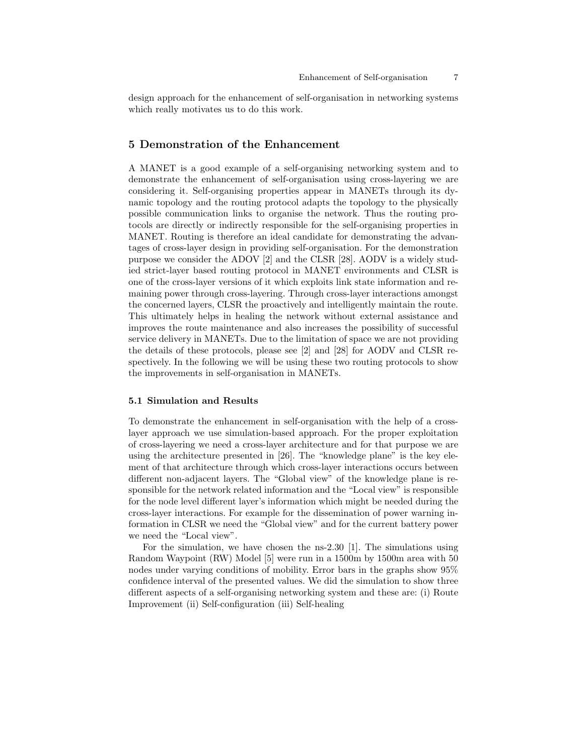design approach for the enhancement of self-organisation in networking systems which really motivates us to do this work.

## 5 Demonstration of the Enhancement

A MANET is a good example of a self-organising networking system and to demonstrate the enhancement of self-organisation using cross-layering we are considering it. Self-organising properties appear in MANETs through its dynamic topology and the routing protocol adapts the topology to the physically possible communication links to organise the network. Thus the routing protocols are directly or indirectly responsible for the self-organising properties in MANET. Routing is therefore an ideal candidate for demonstrating the advantages of cross-layer design in providing self-organisation. For the demonstration purpose we consider the ADOV [2] and the CLSR [28]. AODV is a widely studied strict-layer based routing protocol in MANET environments and CLSR is one of the cross-layer versions of it which exploits link state information and remaining power through cross-layering. Through cross-layer interactions amongst the concerned layers, CLSR the proactively and intelligently maintain the route. This ultimately helps in healing the network without external assistance and improves the route maintenance and also increases the possibility of successful service delivery in MANETs. Due to the limitation of space we are not providing the details of these protocols, please see [2] and [28] for AODV and CLSR respectively. In the following we will be using these two routing protocols to show the improvements in self-organisation in MANETs.

## 5.1 Simulation and Results

To demonstrate the enhancement in self-organisation with the help of a crosslayer approach we use simulation-based approach. For the proper exploitation of cross-layering we need a cross-layer architecture and for that purpose we are using the architecture presented in [26]. The "knowledge plane" is the key element of that architecture through which cross-layer interactions occurs between different non-adjacent layers. The "Global view" of the knowledge plane is responsible for the network related information and the "Local view" is responsible for the node level different layer's information which might be needed during the cross-layer interactions. For example for the dissemination of power warning information in CLSR we need the "Global view" and for the current battery power we need the "Local view".

For the simulation, we have chosen the ns-2.30 [1]. The simulations using Random Waypoint (RW) Model [5] were run in a 1500m by 1500m area with 50 nodes under varying conditions of mobility. Error bars in the graphs show 95% confidence interval of the presented values. We did the simulation to show three different aspects of a self-organising networking system and these are: (i) Route Improvement (ii) Self-configuration (iii) Self-healing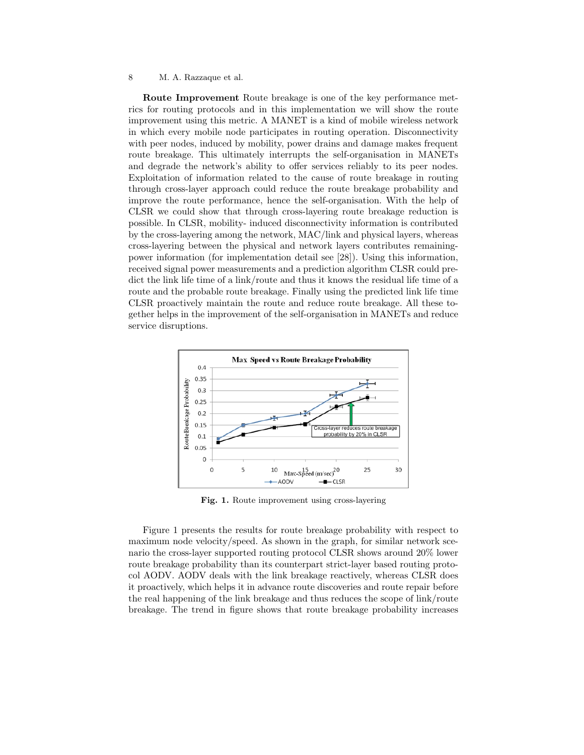Route Improvement Route breakage is one of the key performance metrics for routing protocols and in this implementation we will show the route improvement using this metric. A MANET is a kind of mobile wireless network in which every mobile node participates in routing operation. Disconnectivity with peer nodes, induced by mobility, power drains and damage makes frequent route breakage. This ultimately interrupts the self-organisation in MANETs and degrade the network's ability to offer services reliably to its peer nodes. Exploitation of information related to the cause of route breakage in routing through cross-layer approach could reduce the route breakage probability and improve the route performance, hence the self-organisation. With the help of CLSR we could show that through cross-layering route breakage reduction is possible. In CLSR, mobility- induced disconnectivity information is contributed by the cross-layering among the network, MAC/link and physical layers, whereas cross-layering between the physical and network layers contributes remainingpower information (for implementation detail see [28]). Using this information, received signal power measurements and a prediction algorithm CLSR could predict the link life time of a link/route and thus it knows the residual life time of a route and the probable route breakage. Finally using the predicted link life time CLSR proactively maintain the route and reduce route breakage. All these together helps in the improvement of the self-organisation in MANETs and reduce service disruptions.



Fig. 1. Route improvement using cross-layering

Figure 1 presents the results for route breakage probability with respect to maximum node velocity/speed. As shown in the graph, for similar network scenario the cross-layer supported routing protocol CLSR shows around 20% lower route breakage probability than its counterpart strict-layer based routing protocol AODV. AODV deals with the link breakage reactively, whereas CLSR does it proactively, which helps it in advance route discoveries and route repair before the real happening of the link breakage and thus reduces the scope of link/route breakage. The trend in figure shows that route breakage probability increases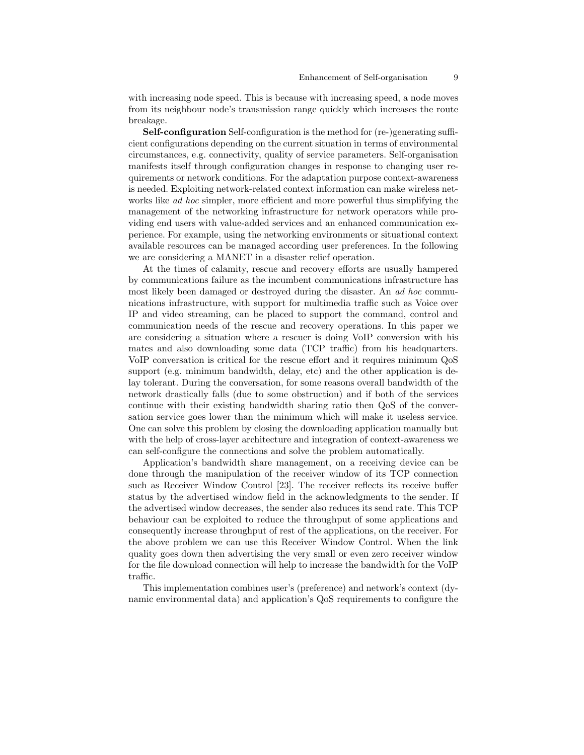with increasing node speed. This is because with increasing speed, a node moves from its neighbour node's transmission range quickly which increases the route breakage.

Self-configuration Self-configuration is the method for (re-)generating sufficient configurations depending on the current situation in terms of environmental circumstances, e.g. connectivity, quality of service parameters. Self-organisation manifests itself through configuration changes in response to changing user requirements or network conditions. For the adaptation purpose context-awareness is needed. Exploiting network-related context information can make wireless networks like *ad hoc* simpler, more efficient and more powerful thus simplifying the management of the networking infrastructure for network operators while providing end users with value-added services and an enhanced communication experience. For example, using the networking environments or situational context available resources can be managed according user preferences. In the following we are considering a MANET in a disaster relief operation.

At the times of calamity, rescue and recovery efforts are usually hampered by communications failure as the incumbent communications infrastructure has most likely been damaged or destroyed during the disaster. An ad hoc communications infrastructure, with support for multimedia traffic such as Voice over IP and video streaming, can be placed to support the command, control and communication needs of the rescue and recovery operations. In this paper we are considering a situation where a rescuer is doing VoIP conversion with his mates and also downloading some data (TCP traffic) from his headquarters. VoIP conversation is critical for the rescue effort and it requires minimum QoS support (e.g. minimum bandwidth, delay, etc) and the other application is delay tolerant. During the conversation, for some reasons overall bandwidth of the network drastically falls (due to some obstruction) and if both of the services continue with their existing bandwidth sharing ratio then QoS of the conversation service goes lower than the minimum which will make it useless service. One can solve this problem by closing the downloading application manually but with the help of cross-layer architecture and integration of context-awareness we can self-configure the connections and solve the problem automatically.

Application's bandwidth share management, on a receiving device can be done through the manipulation of the receiver window of its TCP connection such as Receiver Window Control [23]. The receiver reflects its receive buffer status by the advertised window field in the acknowledgments to the sender. If the advertised window decreases, the sender also reduces its send rate. This TCP behaviour can be exploited to reduce the throughput of some applications and consequently increase throughput of rest of the applications, on the receiver. For the above problem we can use this Receiver Window Control. When the link quality goes down then advertising the very small or even zero receiver window for the file download connection will help to increase the bandwidth for the VoIP traffic.

This implementation combines user's (preference) and network's context (dynamic environmental data) and application's QoS requirements to configure the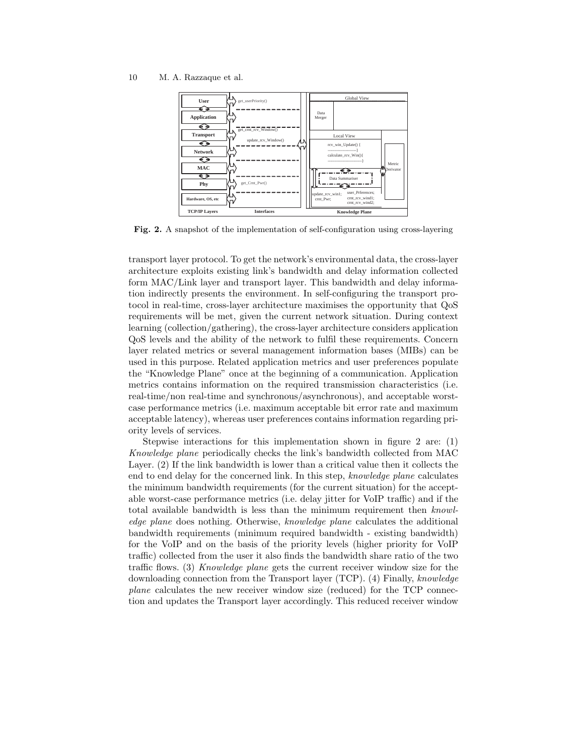

Fig. 2. A snapshot of the implementation of self-configuration using cross-layering

transport layer protocol. To get the network's environmental data, the cross-layer architecture exploits existing link's bandwidth and delay information collected form MAC/Link layer and transport layer. This bandwidth and delay information indirectly presents the environment. In self-configuring the transport protocol in real-time, cross-layer architecture maximises the opportunity that QoS requirements will be met, given the current network situation. During context learning (collection/gathering), the cross-layer architecture considers application QoS levels and the ability of the network to fulfil these requirements. Concern layer related metrics or several management information bases (MIBs) can be used in this purpose. Related application metrics and user preferences populate the "Knowledge Plane" once at the beginning of a communication. Application metrics contains information on the required transmission characteristics (i.e. real-time/non real-time and synchronous/asynchronous), and acceptable worstcase performance metrics (i.e. maximum acceptable bit error rate and maximum acceptable latency), whereas user preferences contains information regarding priority levels of services.

Stepwise interactions for this implementation shown in figure 2 are: (1) Knowledge plane periodically checks the link's bandwidth collected from MAC Layer. (2) If the link bandwidth is lower than a critical value then it collects the end to end delay for the concerned link. In this step, knowledge plane calculates the minimum bandwidth requirements (for the current situation) for the acceptable worst-case performance metrics (i.e. delay jitter for VoIP traffic) and if the total available bandwidth is less than the minimum requirement then knowledge plane does nothing. Otherwise, knowledge plane calculates the additional bandwidth requirements (minimum required bandwidth - existing bandwidth) for the VoIP and on the basis of the priority levels (higher priority for VoIP traffic) collected from the user it also finds the bandwidth share ratio of the two traffic flows. (3) Knowledge plane gets the current receiver window size for the downloading connection from the Transport layer (TCP). (4) Finally, knowledge plane calculates the new receiver window size (reduced) for the TCP connection and updates the Transport layer accordingly. This reduced receiver window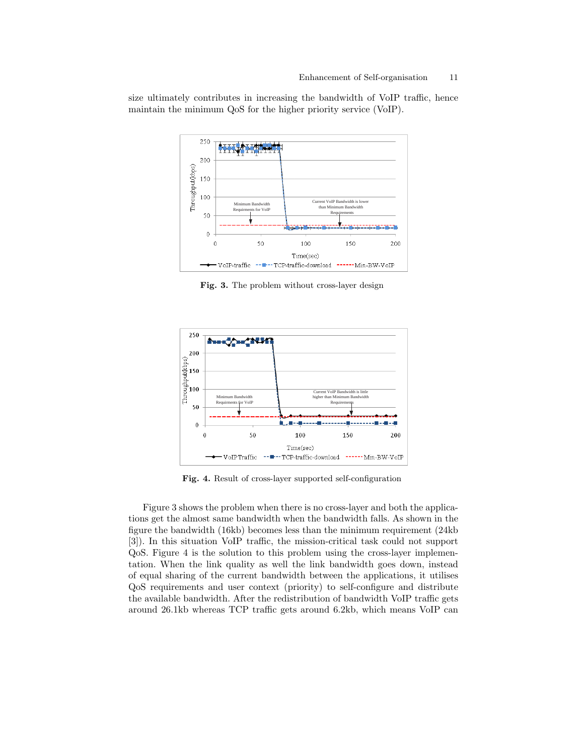size ultimately contributes in increasing the bandwidth of VoIP traffic, hence maintain the minimum QoS for the higher priority service (VoIP).



Fig. 3. The problem without cross-layer design



Fig. 4. Result of cross-layer supported self-configuration

Figure 3 shows the problem when there is no cross-layer and both the applications get the almost same bandwidth when the bandwidth falls. As shown in the figure the bandwidth (16kb) becomes less than the minimum requirement (24kb [3]). In this situation VoIP traffic, the mission-critical task could not support QoS. Figure 4 is the solution to this problem using the cross-layer implementation. When the link quality as well the link bandwidth goes down, instead of equal sharing of the current bandwidth between the applications, it utilises QoS requirements and user context (priority) to self-configure and distribute the available bandwidth. After the redistribution of bandwidth VoIP traffic gets around 26.1kb whereas TCP traffic gets around 6.2kb, which means VoIP can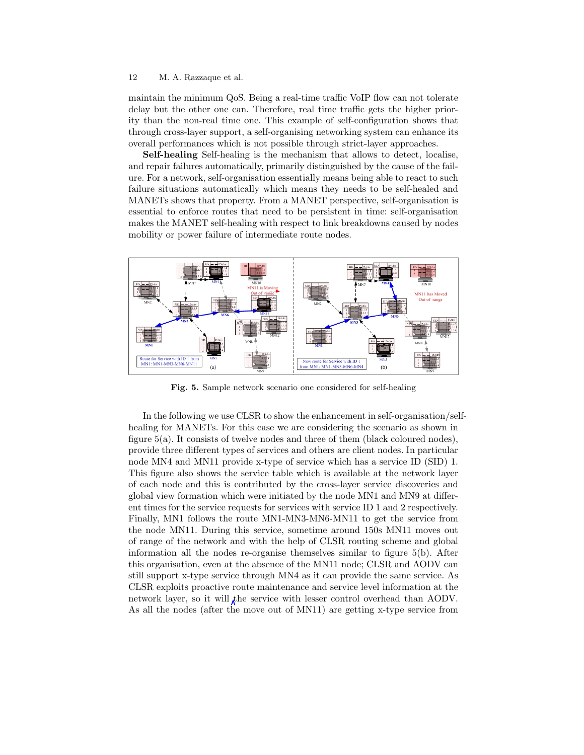maintain the minimum QoS. Being a real-time traffic VoIP flow can not tolerate delay but the other one can. Therefore, real time traffic gets the higher priority than the non-real time one. This example of self-configuration shows that through cross-layer support, a self-organising networking system can enhance its overall performances which is not possible through strict-layer approaches.

Self-healing Self-healing is the mechanism that allows to detect, localise, and repair failures automatically, primarily distinguished by the cause of the failure. For a network, self-organisation essentially means being able to react to such failure situations automatically which means they needs to be self-healed and MANETs shows that property. From a MANET perspective, self-organisation is essential to enforce routes that need to be persistent in time: self-organisation makes the MANET self-healing with respect to link breakdowns caused by nodes mobility or power failure of intermediate route nodes.



Fig. 5. Sample network scenario one considered for self-healing

In the following we use CLSR to show the enhancement in self-organisation/selfhealing for MANETs. For this case we are considering the scenario as shown in figure 5(a). It consists of twelve nodes and three of them (black coloured nodes), provide three different types of services and others are client nodes. In particular node MN4 and MN11 provide x-type of service which has a service ID (SID) 1. This figure also shows the service table which is available at the network layer of each node and this is contributed by the cross-layer service discoveries and global view formation which were initiated by the node MN1 and MN9 at different times for the service requests for services with service ID 1 and 2 respectively. Finally, MN1 follows the route MN1-MN3-MN6-MN11 to get the service from the node MN11. During this service, sometime around 150s MN11 moves out of range of the network and with the help of CLSR routing scheme and global information all the nodes re-organise themselves similar to figure 5(b). After this organisation, even at the absence of the MN11 node; CLSR and AODV can still support x-type service through MN4 as it can provide the same service. As CLSR exploits proactive route maintenance and service level information at the network layer, so it will the service with lesser control overhead than AODV. As all the nodes (after the move out of MN11) are getting x-type service from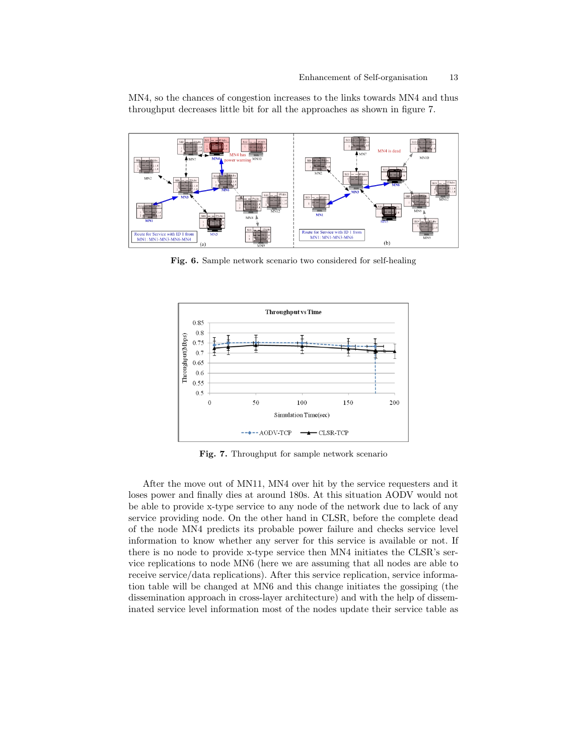MN4, so the chances of congestion increases to the links towards MN4 and thus throughput decreases little bit for all the approaches as shown in figure 7.



Fig. 6. Sample network scenario two considered for self-healing



Fig. 7. Throughput for sample network scenario

After the move out of MN11, MN4 over hit by the service requesters and it loses power and finally dies at around 180s. At this situation AODV would not be able to provide x-type service to any node of the network due to lack of any service providing node. On the other hand in CLSR, before the complete dead of the node MN4 predicts its probable power failure and checks service level information to know whether any server for this service is available or not. If there is no node to provide x-type service then MN4 initiates the CLSR's service replications to node MN6 (here we are assuming that all nodes are able to receive service/data replications). After this service replication, service information table will be changed at MN6 and this change initiates the gossiping (the dissemination approach in cross-layer architecture) and with the help of disseminated service level information most of the nodes update their service table as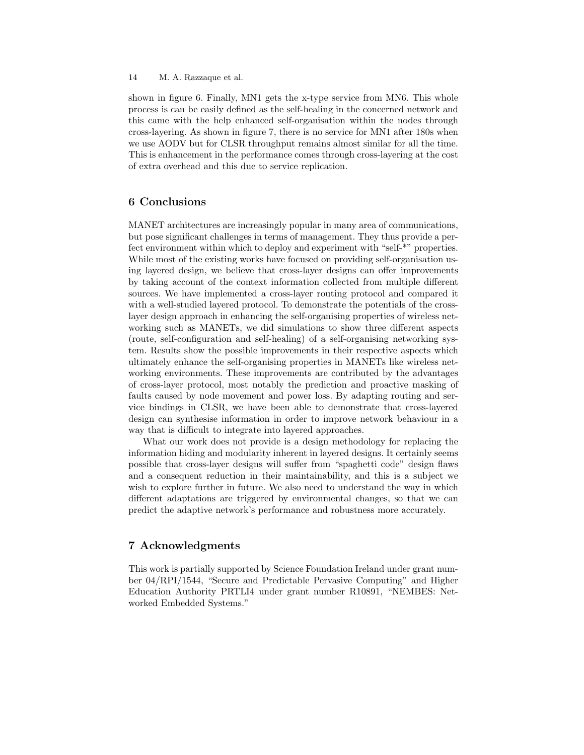shown in figure 6. Finally, MN1 gets the x-type service from MN6. This whole process is can be easily defined as the self-healing in the concerned network and this came with the help enhanced self-organisation within the nodes through cross-layering. As shown in figure 7, there is no service for MN1 after 180s when we use AODV but for CLSR throughput remains almost similar for all the time. This is enhancement in the performance comes through cross-layering at the cost of extra overhead and this due to service replication.

# 6 Conclusions

MANET architectures are increasingly popular in many area of communications, but pose significant challenges in terms of management. They thus provide a perfect environment within which to deploy and experiment with "self-\*" properties. While most of the existing works have focused on providing self-organisation using layered design, we believe that cross-layer designs can offer improvements by taking account of the context information collected from multiple different sources. We have implemented a cross-layer routing protocol and compared it with a well-studied layered protocol. To demonstrate the potentials of the crosslayer design approach in enhancing the self-organising properties of wireless networking such as MANETs, we did simulations to show three different aspects (route, self-configuration and self-healing) of a self-organising networking system. Results show the possible improvements in their respective aspects which ultimately enhance the self-organising properties in MANETs like wireless networking environments. These improvements are contributed by the advantages of cross-layer protocol, most notably the prediction and proactive masking of faults caused by node movement and power loss. By adapting routing and service bindings in CLSR, we have been able to demonstrate that cross-layered design can synthesise information in order to improve network behaviour in a way that is difficult to integrate into layered approaches.

What our work does not provide is a design methodology for replacing the information hiding and modularity inherent in layered designs. It certainly seems possible that cross-layer designs will suffer from "spaghetti code" design flaws and a consequent reduction in their maintainability, and this is a subject we wish to explore further in future. We also need to understand the way in which different adaptations are triggered by environmental changes, so that we can predict the adaptive network's performance and robustness more accurately.

# 7 Acknowledgments

This work is partially supported by Science Foundation Ireland under grant number 04/RPI/1544, "Secure and Predictable Pervasive Computing" and Higher Education Authority PRTLI4 under grant number R10891, "NEMBES: Networked Embedded Systems."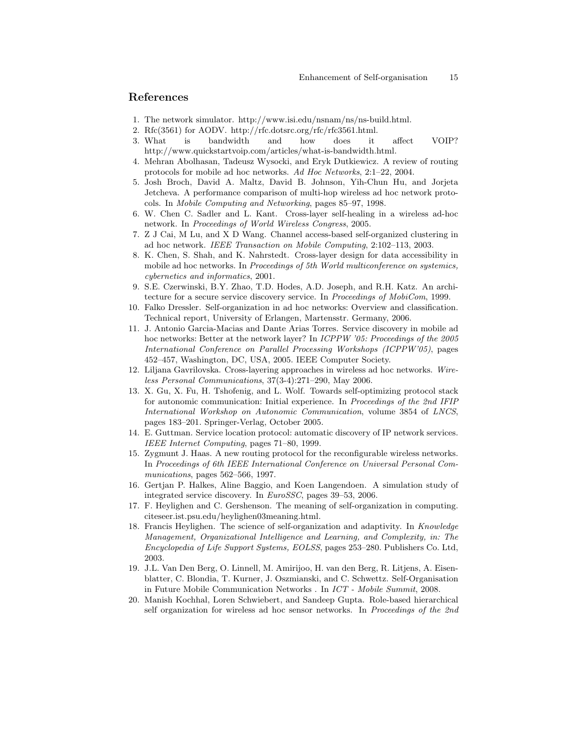# References

- 1. The network simulator. http://www.isi.edu/nsnam/ns/ns-build.html.
- 2. Rfc(3561) for AODV. http://rfc.dotsrc.org/rfc/rfc3561.html.
- 3. What is bandwidth and how does it affect VOIP? http://www.quickstartvoip.com/articles/what-is-bandwidth.html.
- 4. Mehran Abolhasan, Tadeusz Wysocki, and Eryk Dutkiewicz. A review of routing protocols for mobile ad hoc networks. Ad Hoc Networks, 2:1–22, 2004.
- 5. Josh Broch, David A. Maltz, David B. Johnson, Yih-Chun Hu, and Jorjeta Jetcheva. A performance comparison of multi-hop wireless ad hoc network protocols. In Mobile Computing and Networking, pages 85–97, 1998.
- 6. W. Chen C. Sadler and L. Kant. Cross-layer self-healing in a wireless ad-hoc network. In Proceedings of World Wireless Congress, 2005.
- 7. Z J Cai, M Lu, and X D Wang. Channel access-based self-organized clustering in ad hoc network. IEEE Transaction on Mobile Computing, 2:102–113, 2003.
- 8. K. Chen, S. Shah, and K. Nahrstedt. Cross-layer design for data accessibility in mobile ad hoc networks. In Proceedings of 5th World multiconference on systemics, cybernetics and informatics, 2001.
- 9. S.E. Czerwinski, B.Y. Zhao, T.D. Hodes, A.D. Joseph, and R.H. Katz. An architecture for a secure service discovery service. In Proceedings of MobiCom, 1999.
- 10. Falko Dressler. Self-organization in ad hoc networks: Overview and classification. Technical report, University of Erlangen, Martensstr. Germany, 2006.
- 11. J. Antonio Garcia-Macias and Dante Arias Torres. Service discovery in mobile ad hoc networks: Better at the network layer? In ICPPW '05: Proceedings of the 2005 International Conference on Parallel Processing Workshops (ICPPW'05), pages 452–457, Washington, DC, USA, 2005. IEEE Computer Society.
- 12. Liljana Gavrilovska. Cross-layering approaches in wireless ad hoc networks. Wireless Personal Communications, 37(3-4):271–290, May 2006.
- 13. X. Gu, X. Fu, H. Tshofenig, and L. Wolf. Towards self-optimizing protocol stack for autonomic communication: Initial experience. In Proceedings of the 2nd IFIP International Workshop on Autonomic Communication, volume 3854 of LNCS, pages 183–201. Springer-Verlag, October 2005.
- 14. E. Guttman. Service location protocol: automatic discovery of IP network services. IEEE Internet Computing, pages 71–80, 1999.
- 15. Zygmunt J. Haas. A new routing protocol for the reconfigurable wireless networks. In Proceedings of 6th IEEE International Conference on Universal Personal Communications, pages 562–566, 1997.
- 16. Gertjan P. Halkes, Aline Baggio, and Koen Langendoen. A simulation study of integrated service discovery. In EuroSSC, pages 39–53, 2006.
- 17. F. Heylighen and C. Gershenson. The meaning of self-organization in computing. citeseer.ist.psu.edu/heylighen03meaning.html.
- 18. Francis Heylighen. The science of self-organization and adaptivity. In Knowledge Management, Organizational Intelligence and Learning, and Complexity, in: The Encyclopedia of Life Support Systems, EOLSS, pages 253–280. Publishers Co. Ltd, 2003.
- 19. J.L. Van Den Berg, O. Linnell, M. Amirijoo, H. van den Berg, R. Litjens, A. Eisenblatter, C. Blondia, T. Kurner, J. Oszmianski, and C. Schwettz. Self-Organisation in Future Mobile Communication Networks . In ICT - Mobile Summit, 2008.
- 20. Manish Kochhal, Loren Schwiebert, and Sandeep Gupta. Role-based hierarchical self organization for wireless ad hoc sensor networks. In Proceedings of the 2nd